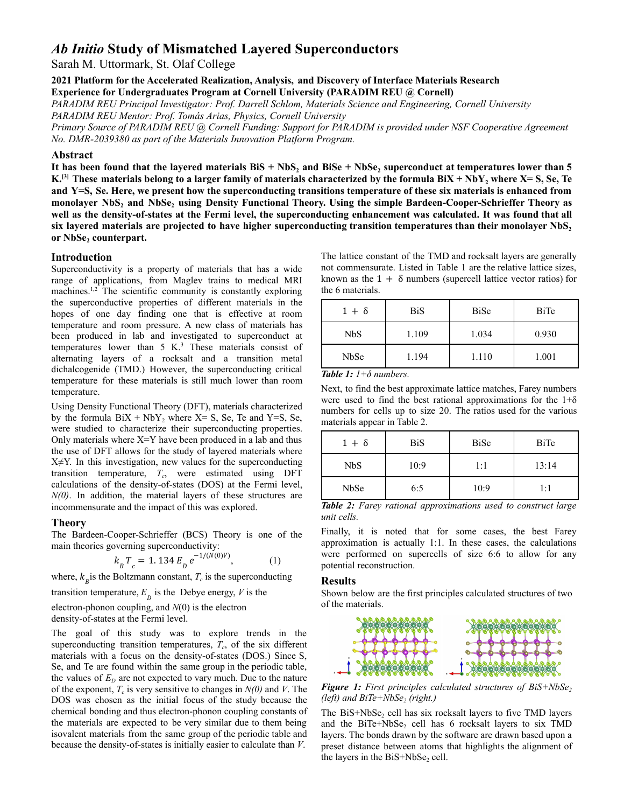# *Ab Initio* **Study of Mismatched Layered Superconductors**

Sarah M. Uttormark, St. Olaf College

**2021 Platform for the Accelerated Realization, Analysis, and Discovery of Interface Materials Research Experience for Undergraduates Program at Cornell University (PARADIM REU @ Cornell)**

*PARADIM REU Principal Investigator: Prof. Darrell Schlom, Materials Science and Engineering, Cornell University PARADIM REU Mentor: Prof. Tomás Arias, Physics, Cornell University*

Primary Source of PARADIM REU @ Cornell Funding: Support for PARADIM is provided under NSF Cooperative Agreement *No. DMR-2039380 as part of the Materials Innovation Platform Program.*

## **Abstract**

It has been found that the layered materials  $BiS + NbS<sub>2</sub>$  and  $BiSe + NbSe<sub>2</sub>$  superconduct at temperatures lower than 5 K.<sup>[3]</sup> These materials belong to a larger family of materials characterized by the formula BiX + NbY<sub>2</sub> where X= S, Se, Te and  $Y=S$ , Se. Here, we present how the superconducting transitions temperature of these six materials is enhanced from **monolayer NbS<sup>2</sup> and NbSe<sup>2</sup> using Density Functional Theory. Using the simple Bardeen-Cooper-Schrieffer Theory as** well as the density-of-states at the Fermi level, the superconducting enhancement was calculated. It was found that all six layered materials are projected to have higher superconducting transition temperatures than their monolayer NbS, **or NbSe<sup>2</sup> counterpart.**

#### **Introduction**

Superconductivity is a property of materials that has a wide range of applications, from Maglev trains to medical MRI machines.<sup>1,2</sup> The scientific community is constantly exploring the superconductive properties of different materials in the hopes of one day finding one that is effective at room temperature and room pressure. A new class of materials has been produced in lab and investigated to superconduct at temperatures lower than  $5 K<sup>3</sup>$ . These materials consist of alternating layers of a rocksalt and a transition metal dichalcogenide (TMD.) However, the superconducting critical temperature for these materials is still much lower than room temperature.

Using Density Functional Theory (DFT), materials characterized by the formula  $BiX + NbY_2$ , where  $X = S$ , Se, Te and Y=S, Se, were studied to characterize their superconducting properties. Only materials where X=Y have been produced in a lab and thus the use of DFT allows for the study of layered materials where  $X \neq Y$ . In this investigation, new values for the superconducting transition temperature, *T<sup>c</sup>* , were estimated using DFT calculations of the density-of-states (DOS) at the Fermi level, *N(0)*. In addition, the material layers of these structures are incommensurate and the impact of this was explored.

#### **Theory**

The Bardeen-Cooper-Schrieffer (BCS) Theory is one of the main theories governing superconductivity:

$$
k_{B} T_{c} = 1.134 E_{D} e^{-1/(N(0)V)}, \qquad (1)
$$

where,  $k_{B}$  is the Boltzmann constant,  $T_c$  is the superconducting

transition temperature,  $E_{\substack{p}}$  is the Debye energy, *V* is the

electron-phonon coupling, and *N*(0) is the electron density-of-states at the Fermi level.

The goal of this study was to explore trends in the superconducting transition temperatures,  $T_c$ , of the six different materials with a focus on the density-of-states (DOS.) Since S, Se, and Te are found within the same group in the periodic table, the values of  $E<sub>D</sub>$  are not expected to vary much. Due to the nature of the exponent,  $T_c$  is very sensitive to changes in  $N(0)$  and *V*. The DOS was chosen as the initial focus of the study because the chemical bonding and thus electron-phonon coupling constants of the materials are expected to be very similar due to them being isovalent materials from the same group of the periodic table and because the density-of-states is initially easier to calculate than *V*.

The lattice constant of the TMD and rocksalt layers are generally not commensurate. Listed in Table 1 are the relative lattice sizes, known as the  $1 + \delta$  numbers (supercell lattice vector ratios) for the 6 materials.

| $1+\delta$ | <b>BiS</b> | <b>BiSe</b> | BiTe  |
|------------|------------|-------------|-------|
| NbS        | 1.109      | 1.034       | 0.930 |
| NbSe       | 1.194      | 1.110       | 1.001 |

*Table 1: 1+δ numbers.*

Next, to find the best approximate lattice matches, Farey numbers were used to find the best rational approximations for the  $1+\delta$ numbers for cells up to size 20. The ratios used for the various materials appear in Table 2.

| $1+\delta$  | <b>BiS</b> | <b>BiSe</b> | BiTe  |
|-------------|------------|-------------|-------|
| NbS         | 10:9       | 1:1         | 13:14 |
| <b>NbSe</b> | 6:5        | 10:9        | 1:1   |

*Table 2: Farey rational approximations used to construct large unit cells.*

Finally, it is noted that for some cases, the best Farey approximation is actually 1:1. In these cases, the calculations were performed on supercells of size 6:6 to allow for any potential reconstruction.

## **Results**

Shown below are the first principles calculated structures of two of the materials.



*Figure 1: First principles calculated structures of BiS+NbSe<sup>2</sup> (left) and BiTe+NbSe<sup>2</sup> (right.)*

The  $BiS+NbSe<sub>2</sub>$  cell has six rocksalt layers to five TMD layers and the BiTe+NbSe<sub>2</sub> cell has 6 rocksalt layers to six TMD layers. The bonds drawn by the software are drawn based upon a preset distance between atoms that highlights the alignment of the layers in the  $BiS+NbSe<sub>2</sub>$  cell.